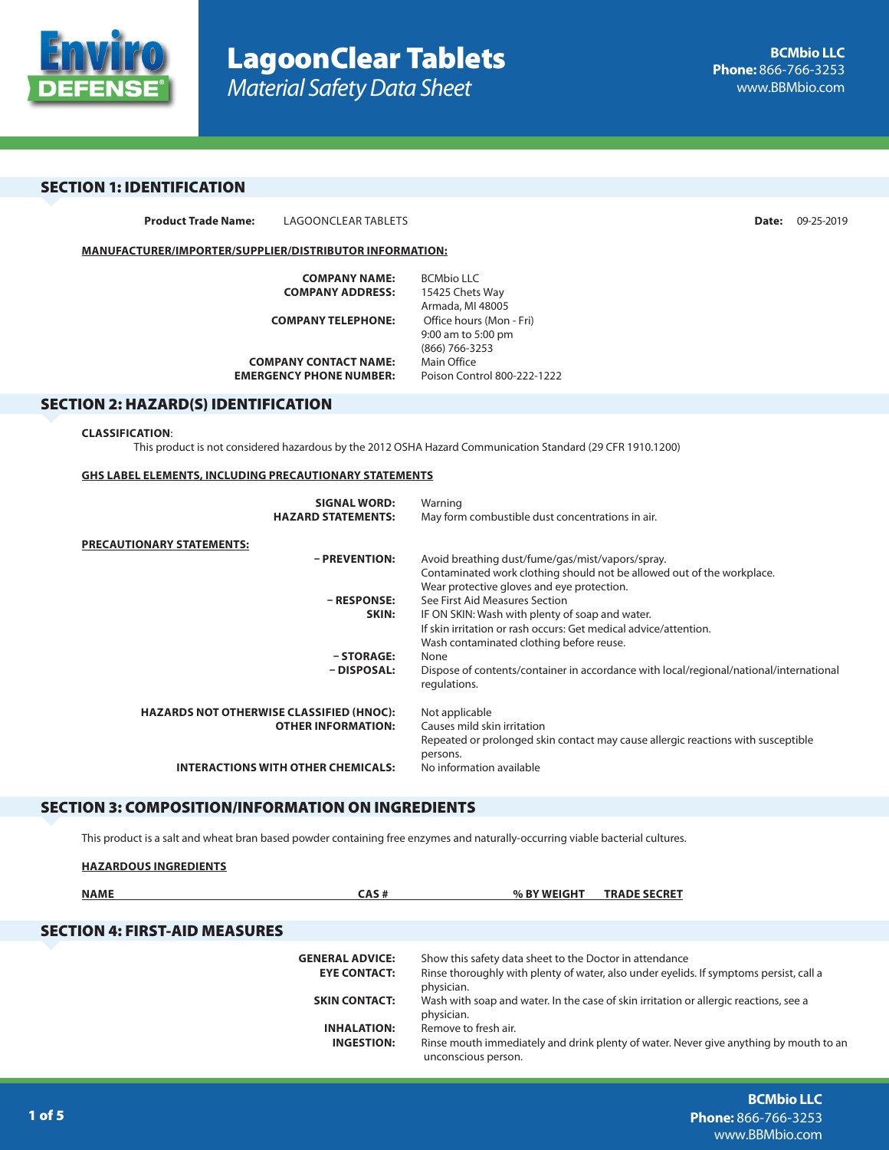

# SECTION 1: IDENTIFICATION

**Product Trade Name:** LAGOONCLEAR TABLETS **Date:** 09-25-2019

## **MANUFACTURER/IMPORTER/SUPPLIER/DISTRIBUTOR INFORMATION:**

| <b>COMPANY NAME:</b>           | <b>BCMbio LLC</b>           |
|--------------------------------|-----------------------------|
| <b>COMPANY ADDRESS:</b>        | 15425 Chets Way             |
|                                | Armada, MI 48005            |
| <b>COMPANY TELEPHONE:</b>      | Office hours (Mon - Fri)    |
|                                | 9:00 am to 5:00 pm          |
|                                | (866) 766-3253              |
| <b>COMPANY CONTACT NAME:</b>   | Main Office                 |
| <b>EMERGENCY PHONE NUMBER:</b> | Poison Control 800-222-1222 |
|                                |                             |

## SECTION 2: HAZARD(S) IDENTIFICATION

#### **CLASSIFICATION**:

This product is not considered hazardous by the 2012 OSHA Hazard Communication Standard (29 CFR 1910.1200)

## **GHS LABEL ELEMENTS, INCLUDING PRECAUTIONARY STATEMENTS**

| <b>SIGNAL WORD:</b>                             | Warning                                                                                |
|-------------------------------------------------|----------------------------------------------------------------------------------------|
| <b>HAZARD STATEMENTS:</b>                       | May form combustible dust concentrations in air.                                       |
| PRECAUTIONARY STATEMENTS:                       |                                                                                        |
| - PREVENTION:                                   | Avoid breathing dust/fume/gas/mist/vapors/spray.                                       |
|                                                 | Contaminated work clothing should not be allowed out of the workplace.                 |
|                                                 | Wear protective gloves and eye protection.                                             |
| – RESPONSE:                                     | See First Aid Measures Section                                                         |
| SKIN:                                           | IF ON SKIN: Wash with plenty of soap and water.                                        |
|                                                 | If skin irritation or rash occurs: Get medical advice/attention.                       |
|                                                 | Wash contaminated clothing before reuse.                                               |
| - STORAGE:                                      | None                                                                                   |
| - DISPOSAL:                                     | Dispose of contents/container in accordance with local/regional/national/international |
|                                                 | regulations.                                                                           |
|                                                 |                                                                                        |
| <b>HAZARDS NOT OTHERWISE CLASSIFIED (HNOC):</b> | Not applicable                                                                         |
| <b>OTHER INFORMATION:</b>                       | Causes mild skin irritation                                                            |
|                                                 | Repeated or prolonged skin contact may cause allergic reactions with susceptible       |
|                                                 | persons.                                                                               |
| <b>INTERACTIONS WITH OTHER CHEMICALS:</b>       | No information available                                                               |
|                                                 |                                                                                        |

## SECTION 3: COMPOSITION/INFORMATION ON INGREDIENTS

This product is a salt and wheat bran based powder containing free enzymes and naturally-occurring viable bacterial cultures.

| <b>HAZARDOUS INGREDIENTS</b>         |                                               |                                                                                                                                                                 |                                                                                       |
|--------------------------------------|-----------------------------------------------|-----------------------------------------------------------------------------------------------------------------------------------------------------------------|---------------------------------------------------------------------------------------|
| <b>NAME</b>                          | CAS#                                          | % BY WEIGHT                                                                                                                                                     | <b>TRADE SECRET</b>                                                                   |
| <b>SECTION 4: FIRST-AID MEASURES</b> |                                               |                                                                                                                                                                 |                                                                                       |
|                                      | <b>GENERAL ADVICE:</b><br><b>EYE CONTACT:</b> | Show this safety data sheet to the Doctor in attendance<br>Rinse thoroughly with plenty of water, also under eyelids. If symptoms persist, call a<br>physician. |                                                                                       |
|                                      | <b>SKIN CONTACT:</b>                          | Wash with soap and water. In the case of skin irritation or allergic reactions, see a<br>physician.                                                             |                                                                                       |
|                                      | <b>INHALATION:</b><br><b>INGESTION:</b>       | Remove to fresh air.<br>unconscious person.                                                                                                                     | Rinse mouth immediately and drink plenty of water. Never give anything by mouth to an |
|                                      |                                               |                                                                                                                                                                 |                                                                                       |

**BCMbio LLC Phone:** 866-766-3253 www.BBMbio.com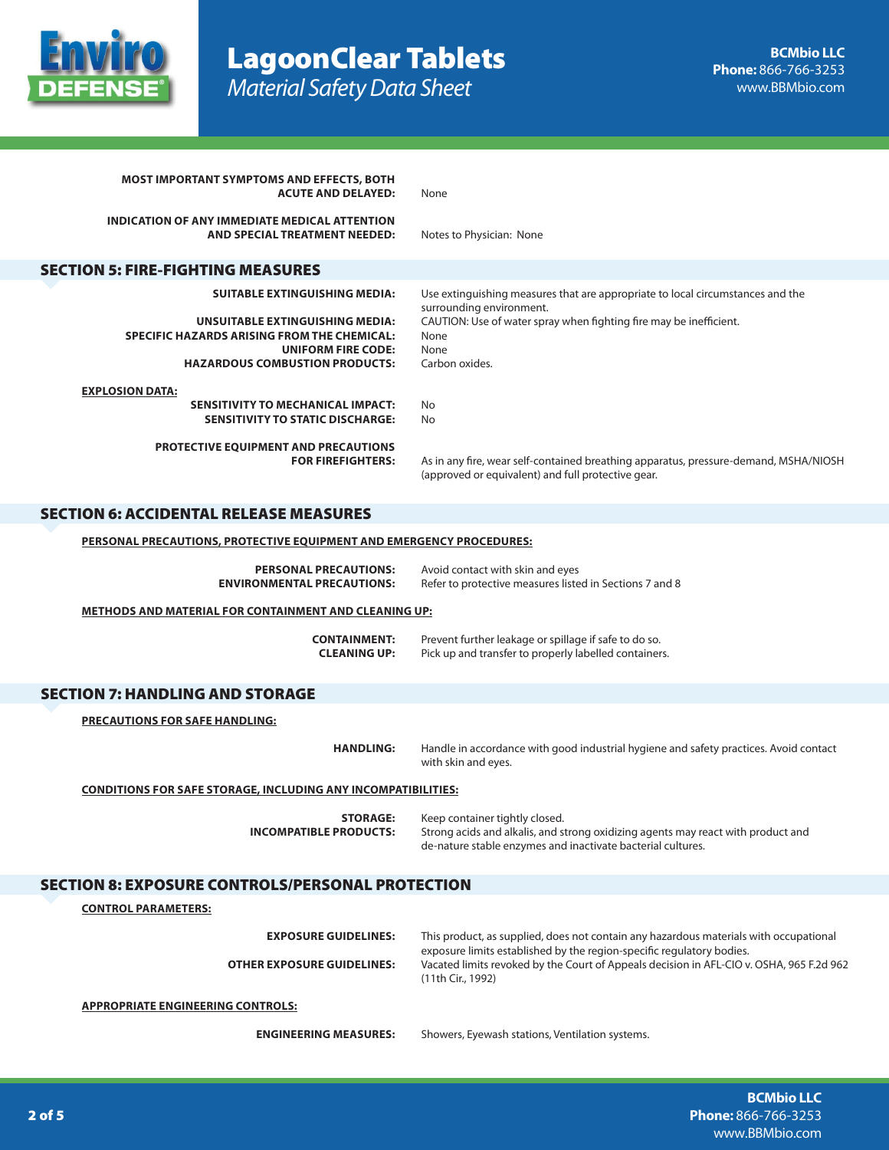

| <b>MOST IMPORTANT SYMPTOMS AND EFFECTS, BOTH</b><br><b>ACUTE AND DELAYED:</b>                                                                                                                       | None                                                                                                                                                                                                               |  |
|-----------------------------------------------------------------------------------------------------------------------------------------------------------------------------------------------------|--------------------------------------------------------------------------------------------------------------------------------------------------------------------------------------------------------------------|--|
| INDICATION OF ANY IMMEDIATE MEDICAL ATTENTION<br>AND SPECIAL TREATMENT NEEDED:                                                                                                                      | Notes to Physician: None                                                                                                                                                                                           |  |
| <b>SECTION 5: FIRE-FIGHTING MEASURES</b>                                                                                                                                                            |                                                                                                                                                                                                                    |  |
| <b>SUITABLE EXTINGUISHING MEDIA:</b><br>UNSUITABLE EXTINGUISHING MEDIA:<br><b>SPECIFIC HAZARDS ARISING FROM THE CHEMICAL:</b><br><b>UNIFORM FIRE CODE:</b><br><b>HAZARDOUS COMBUSTION PRODUCTS:</b> | Use extinguishing measures that are appropriate to local circumstances and the<br>surrounding environment.<br>CAUTION: Use of water spray when fighting fire may be inefficient.<br>None<br>None<br>Carbon oxides. |  |
| <b>EXPLOSION DATA:</b><br><b>SENSITIVITY TO MECHANICAL IMPACT:</b><br><b>SENSITIVITY TO STATIC DISCHARGE:</b>                                                                                       | No<br>No                                                                                                                                                                                                           |  |
| PROTECTIVE EQUIPMENT AND PRECAUTIONS<br><b>FOR FIREFIGHTERS:</b>                                                                                                                                    | As in any fire, wear self-contained breathing apparatus, pressure-demand, MSHA/NIOSH<br>(approved or equivalent) and full protective gear.                                                                         |  |
| <b>SECTION 6: ACCIDENTAL RELEASE MEASURES</b>                                                                                                                                                       |                                                                                                                                                                                                                    |  |
| <b>PERSONAL PRECAUTIONS, PROTECTIVE EQUIPMENT AND EMERGENCY PROCEDURES:</b>                                                                                                                         |                                                                                                                                                                                                                    |  |
| <b>PERSONAL PRECAUTIONS:</b><br><b>ENVIRONMENTAL PRECAUTIONS:</b>                                                                                                                                   | Avoid contact with skin and eyes<br>Refer to protective measures listed in Sections 7 and 8                                                                                                                        |  |
| <b>METHODS AND MATERIAL FOR CONTAINMENT AND CLEANING UP:</b>                                                                                                                                        |                                                                                                                                                                                                                    |  |
| <b>CONTAINMENT:</b><br><b>CLEANING UP:</b>                                                                                                                                                          | Prevent further leakage or spillage if safe to do so.<br>Pick up and transfer to properly labelled containers.                                                                                                     |  |
| <b>SECTION 7: HANDLING AND STORAGE</b>                                                                                                                                                              |                                                                                                                                                                                                                    |  |
| <b>PRECAUTIONS FOR SAFE HANDLING:</b>                                                                                                                                                               |                                                                                                                                                                                                                    |  |
| <b>HANDLING:</b>                                                                                                                                                                                    | Handle in accordance with good industrial hygiene and safety practices. Avoid contact<br>with skin and eyes.                                                                                                       |  |
| <b>CONDITIONS FOR SAFE STORAGE, INCLUDING ANY INCOMPATIBILITIES:</b>                                                                                                                                |                                                                                                                                                                                                                    |  |
| <b>STORAGE:</b><br><b>INCOMPATIBLE PRODUCTS:</b>                                                                                                                                                    | Keep container tightly closed.<br>Strong acids and alkalis, and strong oxidizing agents may react with product and<br>de-nature stable enzymes and inactivate bacterial cultures.                                  |  |
| <b>SECTION 8: EXPOSURE CONTROLS/PERSONAL PROTECTION</b>                                                                                                                                             |                                                                                                                                                                                                                    |  |
| <b>CONTROL PARAMETERS:</b>                                                                                                                                                                          |                                                                                                                                                                                                                    |  |
| <b>EXPOSURE GUIDELINES:</b>                                                                                                                                                                         | This product, as supplied, does not contain any hazardous materials with occupational                                                                                                                              |  |
| <b>OTHER EXPOSURE GUIDELINES:</b>                                                                                                                                                                   | exposure limits established by the region-specific regulatory bodies.<br>Vacated limits revoked by the Court of Appeals decision in AFL-CIO v. OSHA, 965 F.2d 962<br>(11th Cir., 1992)                             |  |
| <b>APPROPRIATE ENGINEERING CONTROLS:</b>                                                                                                                                                            |                                                                                                                                                                                                                    |  |
| <b>ENGINEERING MEASURES:</b>                                                                                                                                                                        | Showers, Eyewash stations, Ventilation systems.                                                                                                                                                                    |  |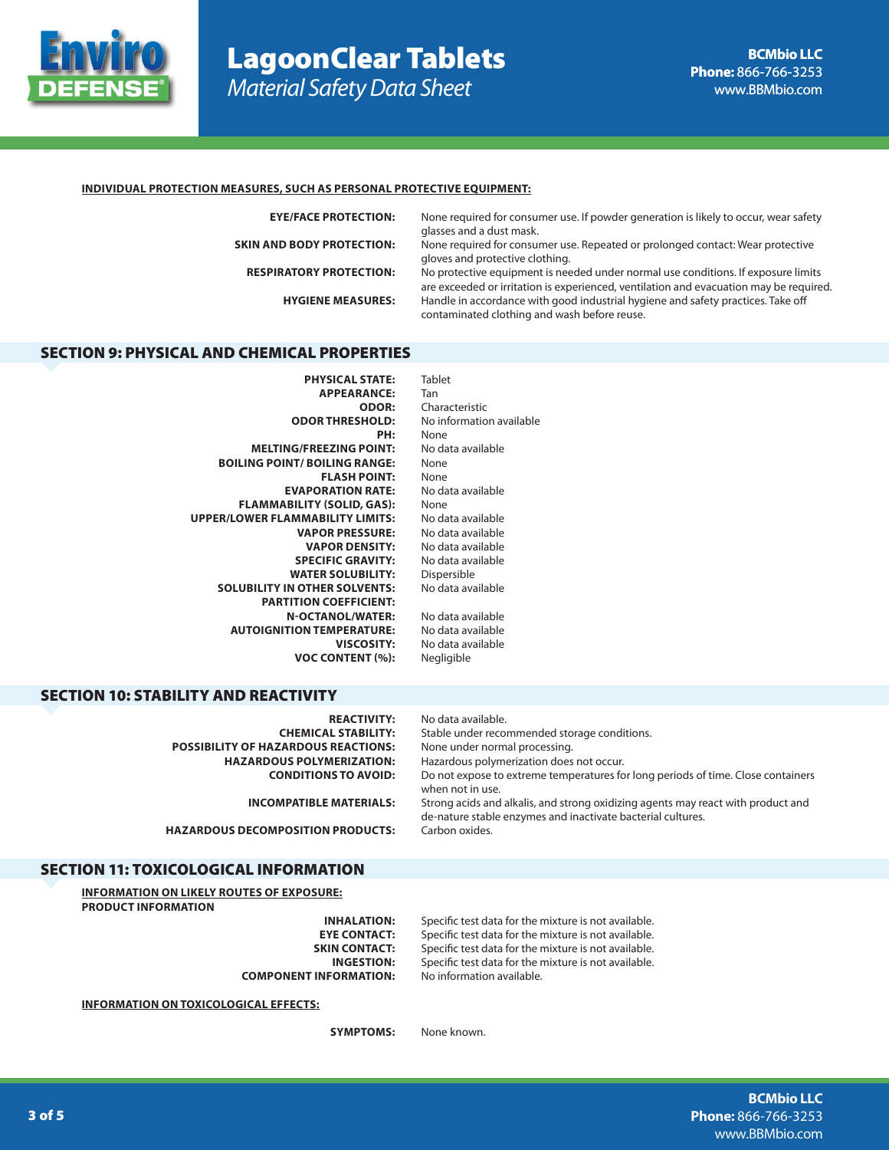

# LagoonClear Tablets *Material Safety Data Sheet*

## **INDIVIDUAL PROTECTION MEASURES, SUCH AS PERSONAL PROTECTIVE EQUIPMENT:**

**EYE/FACE PROTECTION:** None required for consumer use. If powder generation is likely to occur, wear safety glasses and a dust mask. **SKIN AND BODY PROTECTION:** None required for consumer use. Repeated or prolonged contact: Wear protective

**RESPIRATORY PROTECTION:** No protective equipment is needed under normal use conditions. If exposure limits are exceeded or irritation is experienced, ventilation and evacuation may be required. **HYGIENE MEASURES:** Handle in accordance with good industrial hygiene and safety practices. Take off contaminated clothing and wash before reuse.

## SECTION 9: PHYSICAL AND CHEMICAL PROPERTIES

**PHYSICAL STATE:** Tablet APPEARANCE: Tan<br>**ODOR:** Cha **ODOR:** Characteristic **ODOR THRESHOLD:** No information available **PH:** None **MELTING/FREEZING POINT:** No data available **BOILING POINT/ BOILING RANGE:** None **FLASH POINT:** None **EVAPORATION RATE:** No data available **FLAMMABILITY (SOLID, GAS):** None<br>**OWER FLAMMABILITY LIMITS:** No data available **UPPER/LOWER FLAMMABILITY LIMITS: VAPOR PRESSURE:** No data available **VAPOR DENSITY:** No data available<br>**PECIFIC GRAVITY:** No data available **SPECIFIC GRAVITY: WATER SOLUBILITY:** Dispersible **SOLUBILITY IN OTHER SOLVENTS:** No data available **PARTITION COEFFICIENT: N-OCTANOL/WATER:** No data available<br>**TION TEMPERATURE:** No data available **AUTOIGNITION TEMPERATURE: VISCOSITY:** No data available **VOC CONTENT (%):** Negligible

## SECTION 10: STABILITY AND REACTIVITY

| <b>REACTIVITY:</b><br><b>CHEMICAL STABILITY:</b><br><b>POSSIBILITY OF HAZARDOUS REACTIONS:</b><br><b>HAZARDOUS POLYMERIZATION:</b> | No data available.<br>Stable under recommended storage conditions.<br>None under normal processing.<br>Hazardous polymerization does not occur. |
|------------------------------------------------------------------------------------------------------------------------------------|-------------------------------------------------------------------------------------------------------------------------------------------------|
| <b>CONDITIONS TO AVOID:</b>                                                                                                        | Do not expose to extreme temperatures for long periods of time. Close containers<br>when not in use.                                            |
| <b>INCOMPATIBLE MATERIALS:</b>                                                                                                     | Strong acids and alkalis, and strong oxidizing agents may react with product and<br>de-nature stable enzymes and inactivate bacterial cultures. |
| <b>HAZARDOUS DECOMPOSITION PRODUCTS:</b>                                                                                           | Carbon oxides.                                                                                                                                  |

gloves and protective clothing.

## SECTION 11: TOXICOLOGICAL INFORMATION

**INFORMATION ON LIKELY ROUTES OF EXPOSURE: PRODUCT INFORMATION**

**COMPONENT INFORMATION:** No information available.

**INFORMATION ON TOXICOLOGICAL EFFECTS:**

**INHALATION:** Specific test data for the mixture is not available. **EYE CONTACT:** Specific test data for the mixture is not available.<br>**SKIN CONTACT:** Specific test data for the mixture is not available. Specific test data for the mixture is not available. **INGESTION:** Specific test data for the mixture is not available.

**SYMPTOMS:** None known.

**BCMbio LLC Phone:** 866-766-3253 www.BBMbio.com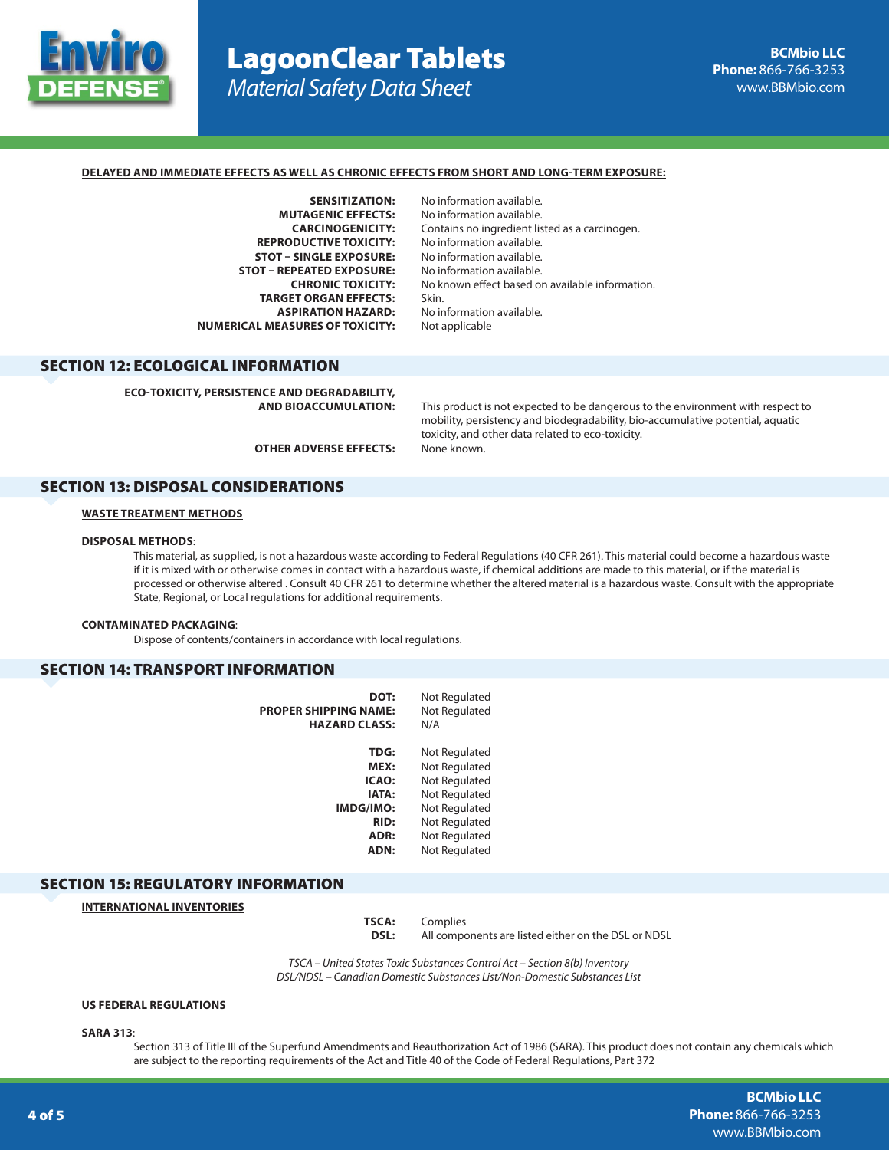

# LagoonClear Tablets *Material Safety Data Sheet*

## **DELAYED AND IMMEDIATE EFFECTS AS WELL AS CHRONIC EFFECTS FROM SHORT AND LONG-TERM EXPOSURE:**

**SENSITIZATION:** No information available.<br>**MUTAGENIC EFFECTS:** No information available. **REPRODUCTIVE TOXICITY:** No information available. **STOT – SINGLE EXPOSURE:** No information available. **STOT – REPEATED EXPOSURE: TARGET ORGAN EFFECTS:** Skin. **ASPIRATION HAZARD:** No information available.<br>**EASURES OF TOXICITY:** Not applicable **NUMERICAL MEASURES OF TOXICITY:** 

No information available. **CARCINOGENICITY:** Contains no ingredient listed as a carcinogen. **CHRONIC TOXICITY:** No known effect based on available information.

## SECTION 12: ECOLOGICAL INFORMATION

**ECO-TOXICITY, PERSISTENCE AND DEGRADABILITY,** 

This product is not expected to be dangerous to the environment with respect to mobility, persistency and biodegradability, bio-accumulative potential, aquatic toxicity, and other data related to eco-toxicity.

**OTHER ADVERSE EFFECTS:** None known.

## SECTION 13: DISPOSAL CONSIDERATIONS

## **WASTE TREATMENT METHODS**

## **DISPOSAL METHODS**:

This material, as supplied, is not a hazardous waste according to Federal Regulations (40 CFR 261). This material could become a hazardous waste if it is mixed with or otherwise comes in contact with a hazardous waste, if chemical additions are made to this material, or if the material is processed or otherwise altered . Consult 40 CFR 261 to determine whether the altered material is a hazardous waste. Consult with the appropriate State, Regional, or Local regulations for additional requirements.

#### **CONTAMINATED PACKAGING**:

Dispose of contents/containers in accordance with local regulations.

## SECTION 14: TRANSPORT INFORMATION

| DOT:<br>PROPER SHIPPING NAME:<br><b>HAZARD CLASS:</b> | Not Regulated<br>Not Regulated<br>N/A |
|-------------------------------------------------------|---------------------------------------|
| <b>TDG:</b>                                           | Not Regulated                         |
| MEX:                                                  | Not Regulated                         |
| ICAO:                                                 | Not Regulated                         |
| <b>IATA:</b>                                          | Not Regulated                         |
| <b>IMDG/IMO:</b>                                      | Not Regulated                         |
| <b>RID:</b>                                           | Not Regulated                         |
| ADR:                                                  | Not Regulated                         |
| ADN:                                                  | Not Regulated                         |

## SECTION 15: REGULATORY INFORMATION

**INTERNATIONAL INVENTORIES**

**TSCA:** Complies **DSL:** All components are listed either on the DSL or NDSL

*TSCA – United States Toxic Substances Control Act – Section 8(b) Inventory DSL/NDSL – Canadian Domestic Substances List/Non-Domestic Substances List*

## **US FEDERAL REGULATIONS**

**SARA 313**:

Section 313 of Title III of the Superfund Amendments and Reauthorization Act of 1986 (SARA). This product does not contain any chemicals which are subject to the reporting requirements of the Act and Title 40 of the Code of Federal Regulations, Part 372

> **BCMbio LLC Phone:** 866-766-3253 www.BBMbio.com